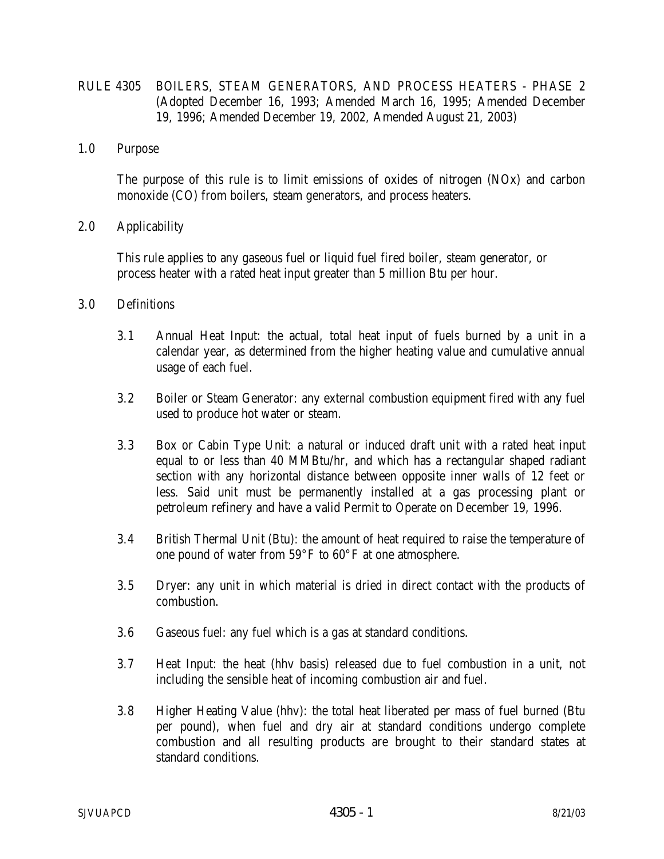- RULE 4305 BOILERS, STEAM GENERATORS, AND PROCESS HEATERS PHASE 2 (Adopted December 16, 1993; Amended March 16, 1995; Amended December 19, 1996; Amended December 19, 2002, Amended August 21, 2003)
- 1.0 Purpose

 The purpose of this rule is to limit emissions of oxides of nitrogen (NOx) and carbon monoxide (CO) from boilers, steam generators, and process heaters.

2.0 Applicability

 This rule applies to any gaseous fuel or liquid fuel fired boiler, steam generator, or process heater with a rated heat input greater than 5 million Btu per hour.

- 3.0 Definitions
	- 3.1 Annual Heat Input: the actual, total heat input of fuels burned by a unit in a calendar year, as determined from the higher heating value and cumulative annual usage of each fuel.
	- 3.2 Boiler or Steam Generator: any external combustion equipment fired with any fuel used to produce hot water or steam.
	- 3.3 Box or Cabin Type Unit: a natural or induced draft unit with a rated heat input equal to or less than 40 MMBtu/hr, and which has a rectangular shaped radiant section with any horizontal distance between opposite inner walls of 12 feet or less. Said unit must be permanently installed at a gas processing plant or petroleum refinery and have a valid Permit to Operate on December 19, 1996.
	- 3.4 British Thermal Unit (Btu): the amount of heat required to raise the temperature of one pound of water from 59°F to 60°F at one atmosphere.
	- 3.5 Dryer: any unit in which material is dried in direct contact with the products of combustion.
	- 3.6 Gaseous fuel: any fuel which is a gas at standard conditions.
	- 3.7 Heat Input: the heat (hhv basis) released due to fuel combustion in a unit, not including the sensible heat of incoming combustion air and fuel.
	- 3.8 Higher Heating Value (hhv): the total heat liberated per mass of fuel burned (Btu per pound), when fuel and dry air at standard conditions undergo complete combustion and all resulting products are brought to their standard states at standard conditions.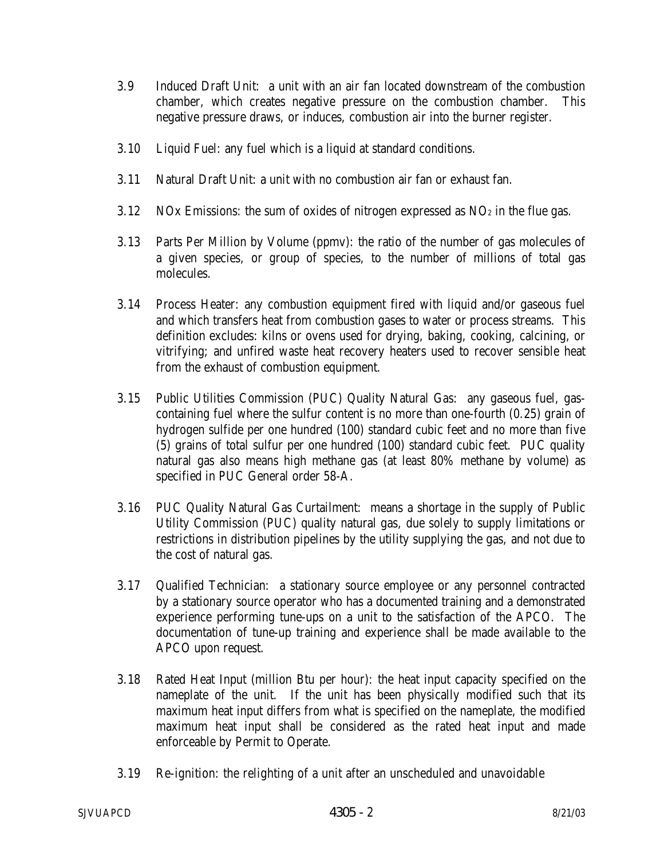- 3.9 Induced Draft Unit: a unit with an air fan located downstream of the combustion chamber, which creates negative pressure on the combustion chamber. This negative pressure draws, or induces, combustion air into the burner register.
- 3.10 Liquid Fuel: any fuel which is a liquid at standard conditions.
- 3.11 Natural Draft Unit: a unit with no combustion air fan or exhaust fan.
- 3.12 NOx Emissions: the sum of oxides of nitrogen expressed as  $NQ_2$  in the flue gas.
- 3.13 Parts Per Million by Volume (ppmv): the ratio of the number of gas molecules of a given species, or group of species, to the number of millions of total gas molecules.
- 3.14 Process Heater: any combustion equipment fired with liquid and/or gaseous fuel and which transfers heat from combustion gases to water or process streams. This definition excludes: kilns or ovens used for drying, baking, cooking, calcining, or vitrifying; and unfired waste heat recovery heaters used to recover sensible heat from the exhaust of combustion equipment.
- 3.15 Public Utilities Commission (PUC) Quality Natural Gas: any gaseous fuel, gascontaining fuel where the sulfur content is no more than one-fourth (0.25) grain of hydrogen sulfide per one hundred (100) standard cubic feet and no more than five (5) grains of total sulfur per one hundred (100) standard cubic feet. PUC quality natural gas also means high methane gas (at least 80% methane by volume) as specified in PUC General order 58-A.
- 3.16 PUC Quality Natural Gas Curtailment: means a shortage in the supply of Public Utility Commission (PUC) quality natural gas, due solely to supply limitations or restrictions in distribution pipelines by the utility supplying the gas, and not due to the cost of natural gas.
- 3.17 Qualified Technician: a stationary source employee or any personnel contracted by a stationary source operator who has a documented training and a demonstrated experience performing tune-ups on a unit to the satisfaction of the APCO. The documentation of tune-up training and experience shall be made available to the APCO upon request.
- 3.18 Rated Heat Input (million Btu per hour): the heat input capacity specified on the nameplate of the unit. If the unit has been physically modified such that its maximum heat input differs from what is specified on the nameplate, the modified maximum heat input shall be considered as the rated heat input and made enforceable by Permit to Operate.
- 3.19 Re-ignition: the relighting of a unit after an unscheduled and unavoidable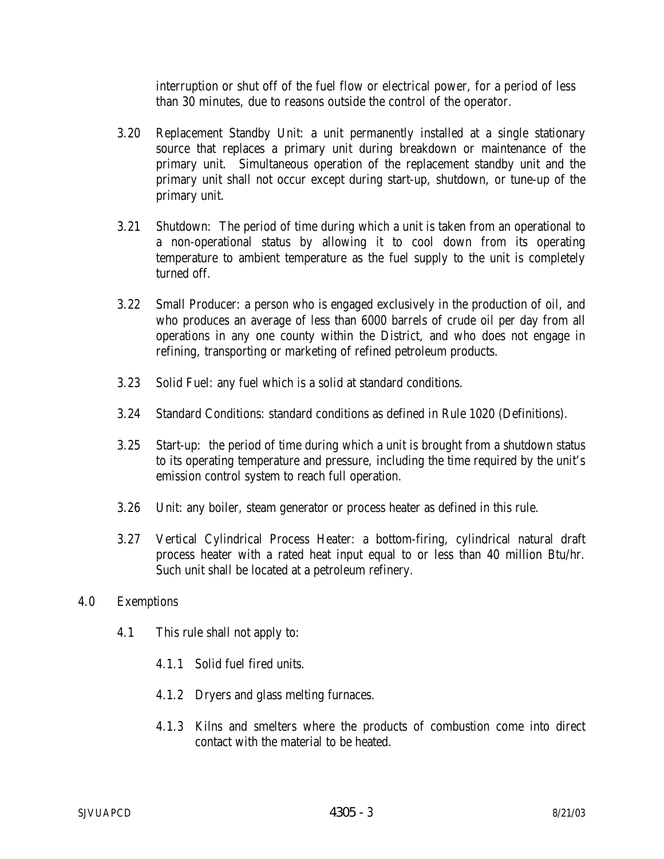interruption or shut off of the fuel flow or electrical power, for a period of less than 30 minutes, due to reasons outside the control of the operator.

- 3.20 Replacement Standby Unit: a unit permanently installed at a single stationary source that replaces a primary unit during breakdown or maintenance of the primary unit. Simultaneous operation of the replacement standby unit and the primary unit shall not occur except during start-up, shutdown, or tune-up of the primary unit.
- 3.21 Shutdown: The period of time during which a unit is taken from an operational to a non-operational status by allowing it to cool down from its operating temperature to ambient temperature as the fuel supply to the unit is completely turned off.
- 3.22 Small Producer: a person who is engaged exclusively in the production of oil, and who produces an average of less than 6000 barrels of crude oil per day from all operations in any one county within the District, and who does not engage in refining, transporting or marketing of refined petroleum products.
- 3.23 Solid Fuel: any fuel which is a solid at standard conditions.
- 3.24 Standard Conditions: standard conditions as defined in Rule 1020 (Definitions).
- 3.25 Start-up: the period of time during which a unit is brought from a shutdown status to its operating temperature and pressure, including the time required by the unit's emission control system to reach full operation.
- 3.26 Unit: any boiler, steam generator or process heater as defined in this rule.
- 3.27 Vertical Cylindrical Process Heater: a bottom-firing, cylindrical natural draft process heater with a rated heat input equal to or less than 40 million Btu/hr. Such unit shall be located at a petroleum refinery.

## 4.0 Exemptions

- 4.1 This rule shall not apply to:
	- 4.1.1 Solid fuel fired units.
	- 4.1.2 Dryers and glass melting furnaces.
	- 4.1.3 Kilns and smelters where the products of combustion come into direct contact with the material to be heated.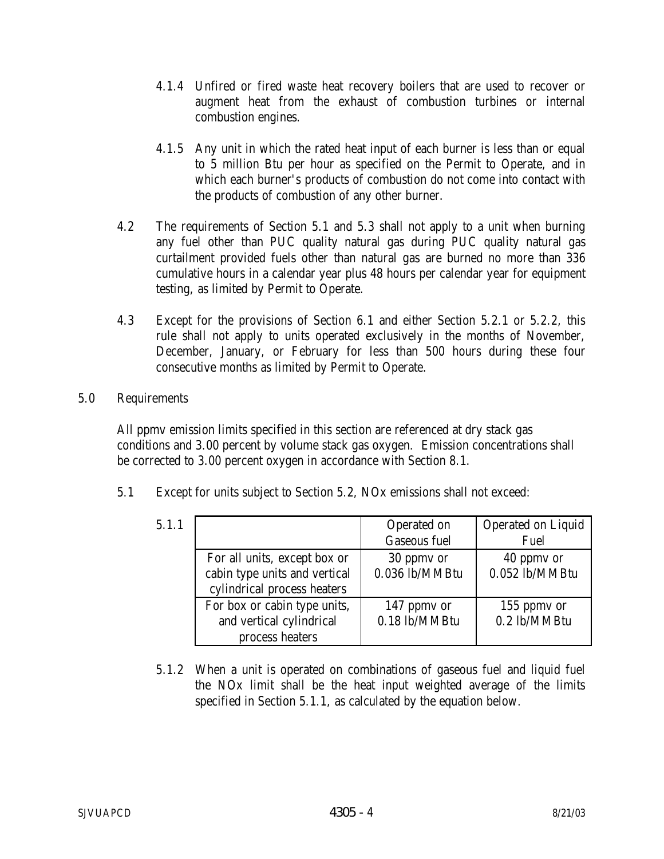- 4.1.4 Unfired or fired waste heat recovery boilers that are used to recover or augment heat from the exhaust of combustion turbines or internal combustion engines.
- 4.1.5 Any unit in which the rated heat input of each burner is less than or equal to 5 million Btu per hour as specified on the Permit to Operate, and in which each burner's products of combustion do not come into contact with the products of combustion of any other burner.
- 4.2 The requirements of Section 5.1 and 5.3 shall not apply to a unit when burning any fuel other than PUC quality natural gas during PUC quality natural gas curtailment provided fuels other than natural gas are burned no more than 336 cumulative hours in a calendar year plus 48 hours per calendar year for equipment testing, as limited by Permit to Operate.
- 4.3 Except for the provisions of Section 6.1 and either Section 5.2.1 or 5.2.2, this rule shall not apply to units operated exclusively in the months of November, December, January, or February for less than 500 hours during these four consecutive months as limited by Permit to Operate.

## 5.0 Requirements

All ppmv emission limits specified in this section are referenced at dry stack gas conditions and 3.00 percent by volume stack gas oxygen. Emission concentrations shall be corrected to 3.00 percent oxygen in accordance with Section 8.1.

5.1 Except for units subject to Section 5.2, NOx emissions shall not exceed:

| 5.1.1 |                                                                                              | Operated on<br><b>Gaseous fuel</b> | <b>Operated on Liquid</b><br>Fuel |
|-------|----------------------------------------------------------------------------------------------|------------------------------------|-----------------------------------|
|       | For all units, except box or<br>cabin type units and vertical<br>cylindrical process heaters | 30 ppmv or<br>0.036 lb/MMBtu       | 40 ppmy or<br>$0.052$ lb/MMBtu    |
|       | For box or cabin type units,<br>and vertical cylindrical<br>process heaters                  | 147 ppmy or<br>0.18 lb/MMBtu       | 155 ppmy or<br>0.2 lb/MMBtu       |

 5.1.2 When a unit is operated on combinations of gaseous fuel and liquid fuel the NOx limit shall be the heat input weighted average of the limits specified in Section 5.1.1, as calculated by the equation below.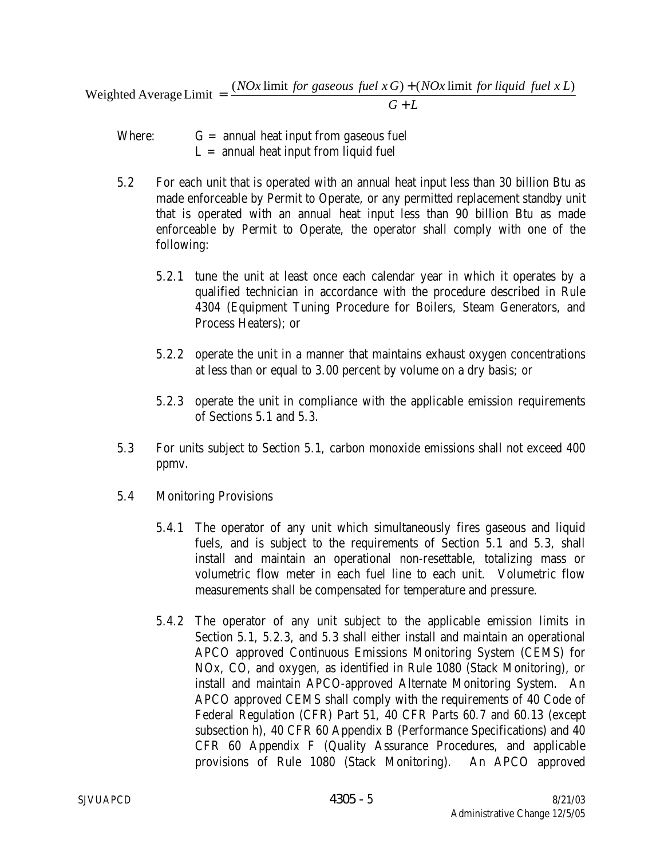*G L NOx* limit for gaseous fuel  $x G$ ) + (*NOx* limit for liquid fuel  $x L$ + Weighted Average Limit  $= \frac{(NOx \text{ limit for gaseous fuel } x G) + (NOx \text{ limit for liquid fuel } x L)}{2 \pi G}$ 

- Where:  $G =$  annual heat input from gaseous fuel  $L =$  annual heat input from liquid fuel
- 5.2 For each unit that is operated with an annual heat input less than 30 billion Btu as made enforceable by Permit to Operate, or any permitted replacement standby unit that is operated with an annual heat input less than 90 billion Btu as made enforceable by Permit to Operate, the operator shall comply with one of the following:
	- 5.2.1 tune the unit at least once each calendar year in which it operates by a qualified technician in accordance with the procedure described in Rule 4304 (Equipment Tuning Procedure for Boilers, Steam Generators, and Process Heaters); or
	- 5.2.2 operate the unit in a manner that maintains exhaust oxygen concentrations at less than or equal to 3.00 percent by volume on a dry basis; or
	- 5.2.3 operate the unit in compliance with the applicable emission requirements of Sections 5.1 and 5.3.
- 5.3 For units subject to Section 5.1, carbon monoxide emissions shall not exceed 400 ppmv.
- 5.4 Monitoring Provisions
	- 5.4.1 The operator of any unit which simultaneously fires gaseous and liquid fuels, and is subject to the requirements of Section 5.1 and 5.3, shall install and maintain an operational non-resettable, totalizing mass or volumetric flow meter in each fuel line to each unit. Volumetric flow measurements shall be compensated for temperature and pressure.
	- 5.4.2 The operator of any unit subject to the applicable emission limits in Section 5.1, 5.2.3, and 5.3 shall either install and maintain an operational APCO approved Continuous Emissions Monitoring System (CEMS) for NOx, CO, and oxygen, as identified in Rule 1080 (Stack Monitoring), or install and maintain APCO-approved Alternate Monitoring System. An APCO approved CEMS shall comply with the requirements of 40 Code of Federal Regulation (CFR) Part 51, 40 CFR Parts 60.7 and 60.13 (except subsection h), 40 CFR 60 Appendix B (Performance Specifications) and 40 CFR 60 Appendix F (Quality Assurance Procedures, and applicable provisions of Rule 1080 (Stack Monitoring). An APCO approved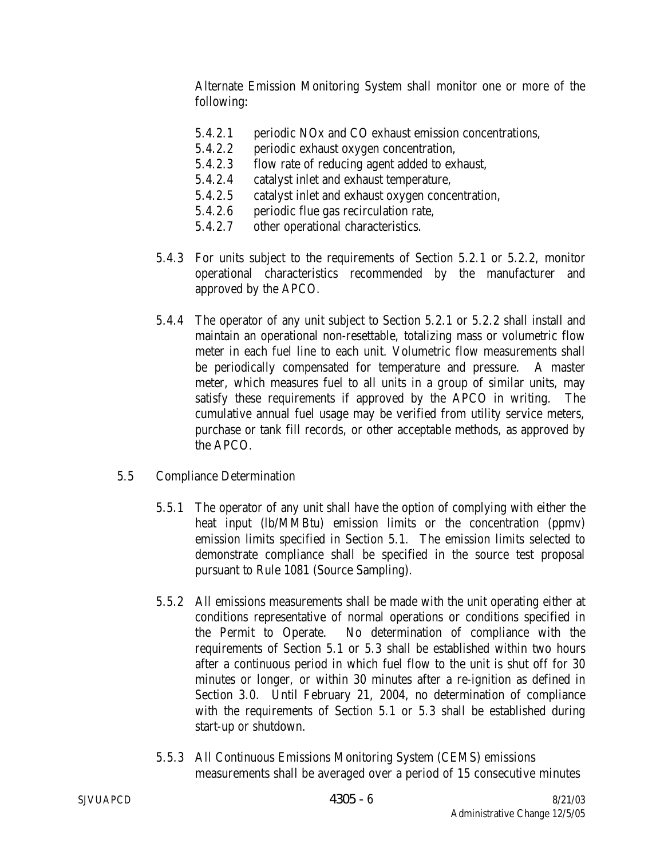Alternate Emission Monitoring System shall monitor one or more of the following:

- 5.4.2.1 periodic NOx and CO exhaust emission concentrations,
- 5.4.2.2 periodic exhaust oxygen concentration,
- 5.4.2.3 flow rate of reducing agent added to exhaust,
- 5.4.2.4 catalyst inlet and exhaust temperature,
- 5.4.2.5 catalyst inlet and exhaust oxygen concentration,
- 5.4.2.6 periodic flue gas recirculation rate,
- 5.4.2.7 other operational characteristics.
- 5.4.3 For units subject to the requirements of Section 5.2.1 or 5.2.2, monitor operational characteristics recommended by the manufacturer and approved by the APCO.
- 5.4.4 The operator of any unit subject to Section 5.2.1 or 5.2.2 shall install and maintain an operational non-resettable, totalizing mass or volumetric flow meter in each fuel line to each unit. Volumetric flow measurements shall be periodically compensated for temperature and pressure. A master meter, which measures fuel to all units in a group of similar units, may satisfy these requirements if approved by the APCO in writing. The cumulative annual fuel usage may be verified from utility service meters, purchase or tank fill records, or other acceptable methods, as approved by the APCO.
- 5.5 Compliance Determination
	- 5.5.1 The operator of any unit shall have the option of complying with either the heat input (lb/MMBtu) emission limits or the concentration (ppmv) emission limits specified in Section 5.1. The emission limits selected to demonstrate compliance shall be specified in the source test proposal pursuant to Rule 1081 (Source Sampling).
	- 5.5.2 All emissions measurements shall be made with the unit operating either at conditions representative of normal operations or conditions specified in the Permit to Operate. No determination of compliance with the requirements of Section 5.1 or 5.3 shall be established within two hours after a continuous period in which fuel flow to the unit is shut off for 30 minutes or longer, or within 30 minutes after a re-ignition as defined in Section 3.0. Until February 21, 2004, no determination of compliance with the requirements of Section 5.1 or 5.3 shall be established during start-up or shutdown.
	- 5.5.3 All Continuous Emissions Monitoring System (CEMS) emissions measurements shall be averaged over a period of 15 consecutive minutes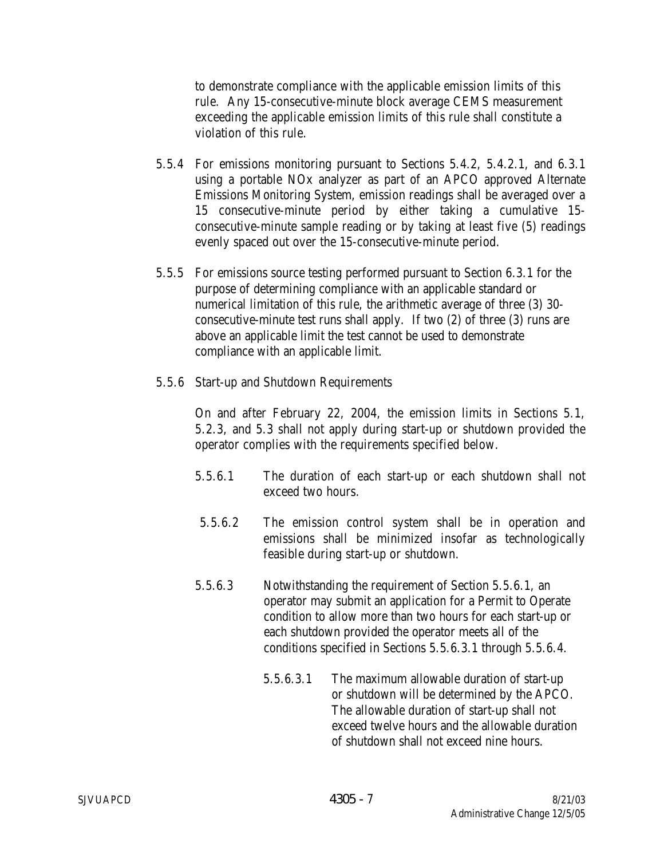to demonstrate compliance with the applicable emission limits of this rule. Any 15-consecutive-minute block average CEMS measurement exceeding the applicable emission limits of this rule shall constitute a violation of this rule.

- 5.5.4 For emissions monitoring pursuant to Sections 5.4.2, 5.4.2.1, and 6.3.1 using a portable NOx analyzer as part of an APCO approved Alternate Emissions Monitoring System, emission readings shall be averaged over a 15 consecutive-minute period by either taking a cumulative 15 consecutive-minute sample reading or by taking at least five (5) readings evenly spaced out over the 15-consecutive-minute period.
- 5.5.5 For emissions source testing performed pursuant to Section 6.3.1 for the purpose of determining compliance with an applicable standard or numerical limitation of this rule, the arithmetic average of three (3) 30 consecutive-minute test runs shall apply. If two (2) of three (3) runs are above an applicable limit the test cannot be used to demonstrate compliance with an applicable limit.
- 5.5.6 Start-up and Shutdown Requirements

On and after February 22, 2004, the emission limits in Sections 5.1, 5.2.3, and 5.3 shall not apply during start-up or shutdown provided the operator complies with the requirements specified below.

- 5.5.6.1 The duration of each start-up or each shutdown shall not exceed two hours.
- 5.5.6.2 The emission control system shall be in operation and emissions shall be minimized insofar as technologically feasible during start-up or shutdown.
- 5.5.6.3 Notwithstanding the requirement of Section 5.5.6.1, an operator may submit an application for a Permit to Operate condition to allow more than two hours for each start-up or each shutdown provided the operator meets all of the conditions specified in Sections 5.5.6.3.1 through 5.5.6.4.
	- 5.5.6.3.1 The maximum allowable duration of start-up or shutdown will be determined by the APCO. The allowable duration of start-up shall not exceed twelve hours and the allowable duration of shutdown shall not exceed nine hours.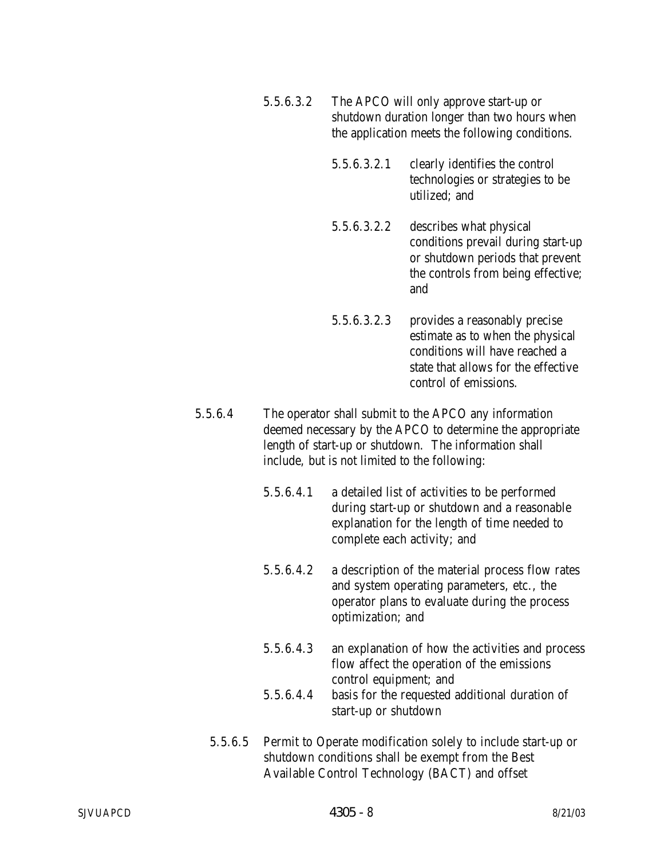- 5.5.6.3.2 The APCO will only approve start-up or shutdown duration longer than two hours when the application meets the following conditions.
	- 5.5.6.3.2.1 clearly identifies the control technologies or strategies to be utilized; and
	- 5.5.6.3.2.2 describes what physical conditions prevail during start-up or shutdown periods that prevent the controls from being effective; and
	- 5.5.6.3.2.3 provides a reasonably precise estimate as to when the physical conditions will have reached a state that allows for the effective control of emissions.
- 5.5.6.4 The operator shall submit to the APCO any information deemed necessary by the APCO to determine the appropriate length of start-up or shutdown. The information shall include, but is not limited to the following:
	- 5.5.6.4.1 a detailed list of activities to be performed during start-up or shutdown and a reasonable explanation for the length of time needed to complete each activity; and

5.5.6.4.2 a description of the material process flow rates and system operating parameters, etc., the operator plans to evaluate during the process optimization; and

- 5.5.6.4.3 an explanation of how the activities and process flow affect the operation of the emissions control equipment; and 5.5.6.4.4 basis for the requested additional duration of
- 5.5.6.5 Permit to Operate modification solely to include start-up or shutdown conditions shall be exempt from the Best Available Control Technology (BACT) and offset

start-up or shutdown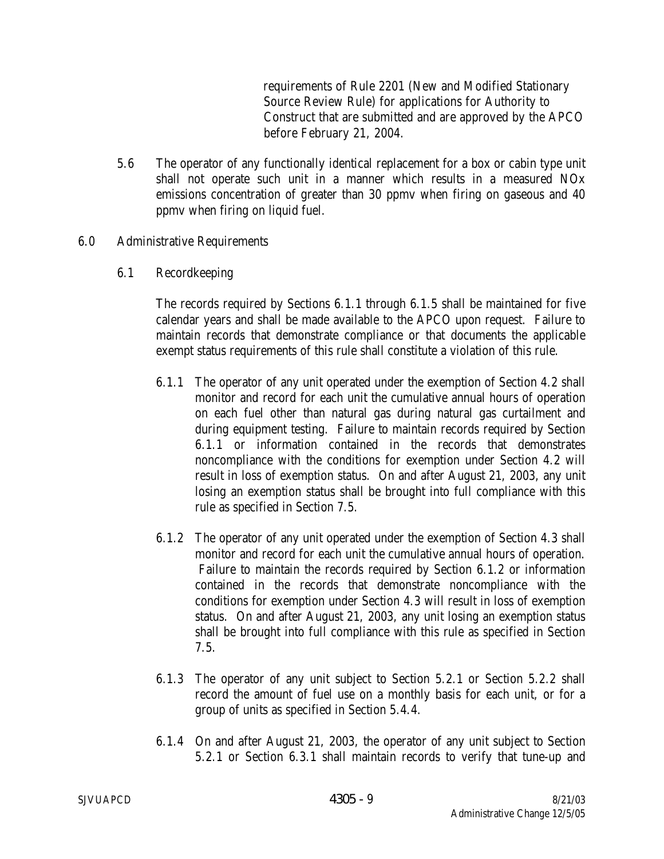requirements of Rule 2201 (New and Modified Stationary Source Review Rule) for applications for Authority to Construct that are submitted and are approved by the APCO before February 21, 2004.

- 5.6 The operator of any functionally identical replacement for a box or cabin type unit shall not operate such unit in a manner which results in a measured NOx emissions concentration of greater than 30 ppmv when firing on gaseous and 40 ppmv when firing on liquid fuel.
- 6.0 Administrative Requirements
	- 6.1 Recordkeeping

 The records required by Sections 6.1.1 through 6.1.5 shall be maintained for five calendar years and shall be made available to the APCO upon request. Failure to maintain records that demonstrate compliance or that documents the applicable exempt status requirements of this rule shall constitute a violation of this rule.

- 6.1.1 The operator of any unit operated under the exemption of Section 4.2 shall monitor and record for each unit the cumulative annual hours of operation on each fuel other than natural gas during natural gas curtailment and during equipment testing. Failure to maintain records required by Section 6.1.1 or information contained in the records that demonstrates noncompliance with the conditions for exemption under Section 4.2 will result in loss of exemption status. On and after August 21, 2003, any unit losing an exemption status shall be brought into full compliance with this rule as specified in Section 7.5.
- 6.1.2 The operator of any unit operated under the exemption of Section 4.3 shall monitor and record for each unit the cumulative annual hours of operation. Failure to maintain the records required by Section 6.1.2 or information contained in the records that demonstrate noncompliance with the conditions for exemption under Section 4.3 will result in loss of exemption status. On and after August 21, 2003, any unit losing an exemption status shall be brought into full compliance with this rule as specified in Section 7.5.
- 6.1.3 The operator of any unit subject to Section 5.2.1 or Section 5.2.2 shall record the amount of fuel use on a monthly basis for each unit, or for a group of units as specified in Section 5.4.4.
- 6.1.4 On and after August 21, 2003, the operator of any unit subject to Section 5.2.1 or Section 6.3.1 shall maintain records to verify that tune-up and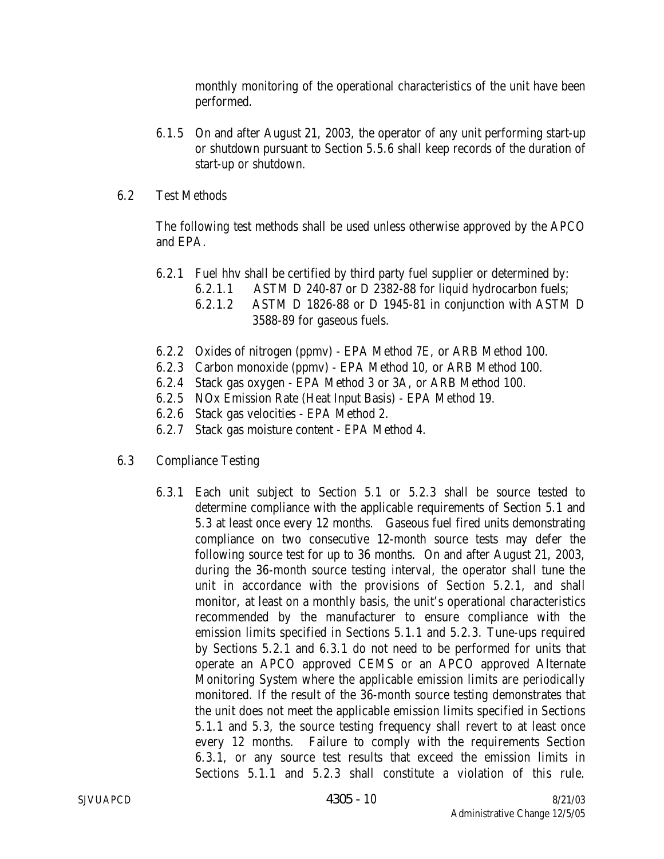monthly monitoring of the operational characteristics of the unit have been performed.

- 6.1.5 On and after August 21, 2003, the operator of any unit performing start-up or shutdown pursuant to Section 5.5.6 shall keep records of the duration of start-up or shutdown.
- 6.2 Test Methods

The following test methods shall be used unless otherwise approved by the APCO and EPA.

- 6.2.1 Fuel hhv shall be certified by third party fuel supplier or determined by:
	- 6.2.1.1 ASTM D 240-87 or D 2382-88 for liquid hydrocarbon fuels;
	- 6.2.1.2 ASTM D 1826-88 or D 1945-81 in conjunction with ASTM D 3588-89 for gaseous fuels.
- 6.2.2 Oxides of nitrogen (ppmv) EPA Method 7E, or ARB Method 100.
- 6.2.3 Carbon monoxide (ppmv) EPA Method 10, or ARB Method 100.
- 6.2.4 Stack gas oxygen EPA Method 3 or 3A, or ARB Method 100.
- 6.2.5 NOx Emission Rate (Heat Input Basis) EPA Method 19.
- 6.2.6 Stack gas velocities EPA Method 2.
- 6.2.7 Stack gas moisture content EPA Method 4.
- 6.3 Compliance Testing
	- 6.3.1 Each unit subject to Section 5.1 or 5.2.3 shall be source tested to determine compliance with the applicable requirements of Section 5.1 and 5.3 at least once every 12 months. Gaseous fuel fired units demonstrating compliance on two consecutive 12-month source tests may defer the following source test for up to 36 months. On and after August 21, 2003, during the 36-month source testing interval, the operator shall tune the unit in accordance with the provisions of Section 5.2.1, and shall monitor, at least on a monthly basis, the unit's operational characteristics recommended by the manufacturer to ensure compliance with the emission limits specified in Sections 5.1.1 and 5.2.3. Tune-ups required by Sections 5.2.1 and 6.3.1 do not need to be performed for units that operate an APCO approved CEMS or an APCO approved Alternate Monitoring System where the applicable emission limits are periodically monitored. If the result of the 36-month source testing demonstrates that the unit does not meet the applicable emission limits specified in Sections 5.1.1 and 5.3, the source testing frequency shall revert to at least once every 12 months. Failure to comply with the requirements Section 6.3.1, or any source test results that exceed the emission limits in Sections 5.1.1 and 5.2.3 shall constitute a violation of this rule.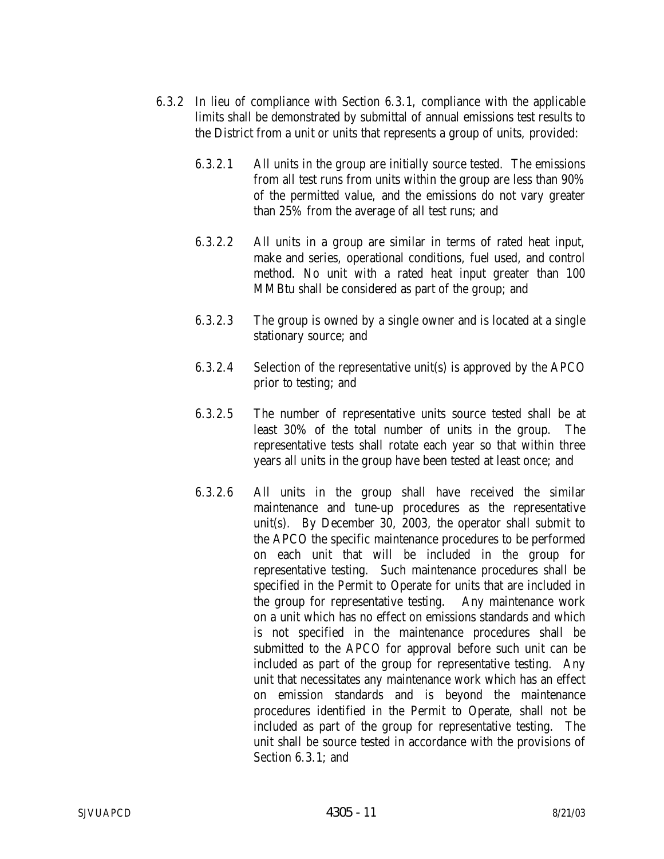- 6.3.2 In lieu of compliance with Section 6.3.1, compliance with the applicable limits shall be demonstrated by submittal of annual emissions test results to the District from a unit or units that represents a group of units, provided:
	- 6.3.2.1 All units in the group are initially source tested. The emissions from all test runs from units within the group are less than 90% of the permitted value, and the emissions do not vary greater than 25% from the average of all test runs; and
	- 6.3.2.2 All units in a group are similar in terms of rated heat input, make and series, operational conditions, fuel used, and control method. No unit with a rated heat input greater than 100 MMBtu shall be considered as part of the group; and
	- 6.3.2.3 The group is owned by a single owner and is located at a single stationary source; and
	- 6.3.2.4 Selection of the representative unit(s) is approved by the APCO prior to testing; and
	- 6.3.2.5 The number of representative units source tested shall be at least 30% of the total number of units in the group. The representative tests shall rotate each year so that within three years all units in the group have been tested at least once; and
	- 6.3.2.6 All units in the group shall have received the similar maintenance and tune-up procedures as the representative unit(s). By December 30, 2003, the operator shall submit to the APCO the specific maintenance procedures to be performed on each unit that will be included in the group for representative testing. Such maintenance procedures shall be specified in the Permit to Operate for units that are included in the group for representative testing. Any maintenance work on a unit which has no effect on emissions standards and which is not specified in the maintenance procedures shall be submitted to the APCO for approval before such unit can be included as part of the group for representative testing. Any unit that necessitates any maintenance work which has an effect on emission standards and is beyond the maintenance procedures identified in the Permit to Operate, shall not be included as part of the group for representative testing. The unit shall be source tested in accordance with the provisions of Section 6.3.1; and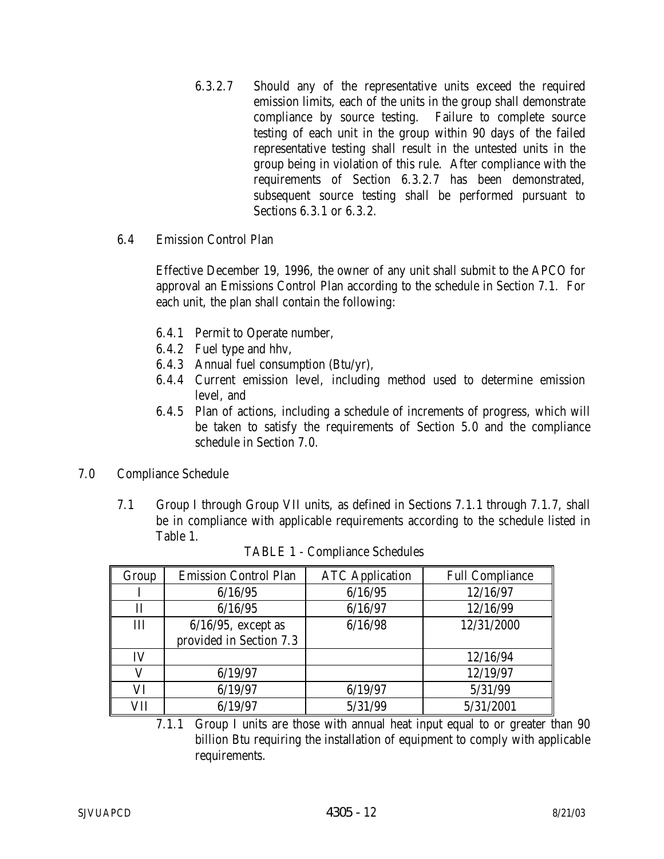- 6.3.2.7 Should any of the representative units exceed the required emission limits, each of the units in the group shall demonstrate compliance by source testing. Failure to complete source testing of each unit in the group within 90 days of the failed representative testing shall result in the untested units in the group being in violation of this rule. After compliance with the requirements of Section 6.3.2.7 has been demonstrated, subsequent source testing shall be performed pursuant to Sections 6.3.1 or 6.3.2.
- 6.4 Emission Control Plan

 Effective December 19, 1996, the owner of any unit shall submit to the APCO for approval an Emissions Control Plan according to the schedule in Section 7.1. For each unit, the plan shall contain the following:

- 6.4.1 Permit to Operate number,
- 6.4.2 Fuel type and hhv,
- 6.4.3 Annual fuel consumption (Btu/yr),
- 6.4.4 Current emission level, including method used to determine emission level, and
- 6.4.5 Plan of actions, including a schedule of increments of progress, which will be taken to satisfy the requirements of Section 5.0 and the compliance schedule in Section 7.0.
- 7.0 Compliance Schedule
	- 7.1 Group I through Group VII units, as defined in Sections 7.1.1 through 7.1.7, shall be in compliance with applicable requirements according to the schedule listed in Table 1.

| Group | <b>Emission Control Plan</b> | <b>ATC</b> Application | <b>Full Compliance</b> |
|-------|------------------------------|------------------------|------------------------|
|       | 6/16/95                      | 6/16/95                | 12/16/97               |
| П     | 6/16/95                      | 6/16/97                | 12/16/99               |
| III   | $6/16/95$ , except as        | 6/16/98                | 12/31/2000             |
|       | provided in Section 7.3      |                        |                        |
| IV    |                              |                        | 12/16/94               |
|       | 6/19/97                      |                        | 12/19/97               |
| VI    | 6/19/97                      | 6/19/97                | 5/31/99                |
| VH    | 6/19/97                      | 5/31/99                | 5/31/2001              |

TABLE 1 - Compliance Schedules

 7.1.1 Group I units are those with annual heat input equal to or greater than 90 billion Btu requiring the installation of equipment to comply with applicable requirements.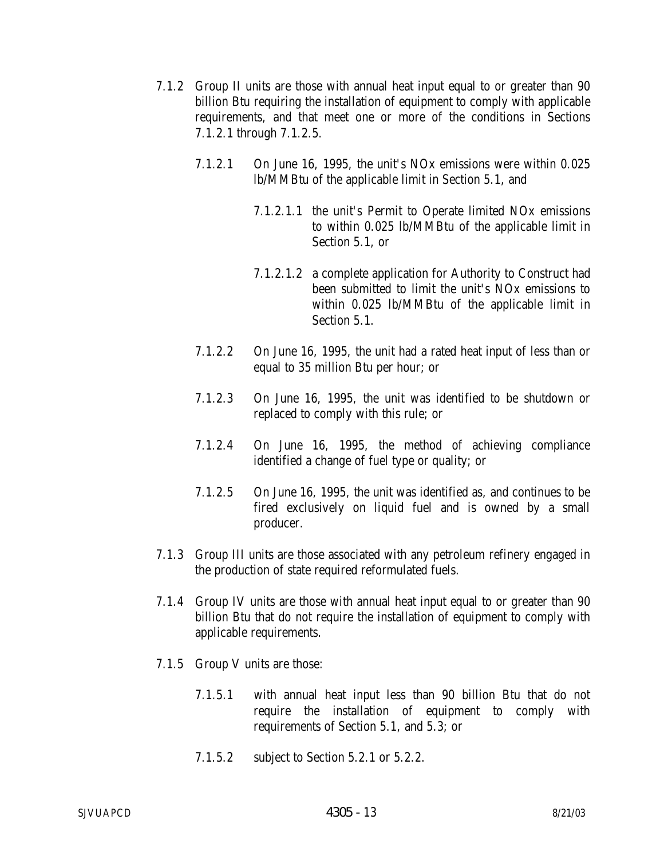- 7.1.2 Group II units are those with annual heat input equal to or greater than 90 billion Btu requiring the installation of equipment to comply with applicable requirements, and that meet one or more of the conditions in Sections 7.1.2.1 through 7.1.2.5.
	- 7.1.2.1 On June 16, 1995, the unit's NOx emissions were within 0.025 lb/MMBtu of the applicable limit in Section 5.1, and
		- 7.1.2.1.1 the unit's Permit to Operate limited NOx emissions to within 0.025 lb/MMBtu of the applicable limit in Section 5.1, or
		- 7.1.2.1.2 a complete application for Authority to Construct had been submitted to limit the unit's NOx emissions to within 0.025 lb/MMBtu of the applicable limit in Section 5.1.
	- 7.1.2.2 On June 16, 1995, the unit had a rated heat input of less than or equal to 35 million Btu per hour; or
	- 7.1.2.3 On June 16, 1995, the unit was identified to be shutdown or replaced to comply with this rule; or
	- 7.1.2.4 On June 16, 1995, the method of achieving compliance identified a change of fuel type or quality; or
	- 7.1.2.5 On June 16, 1995, the unit was identified as, and continues to be fired exclusively on liquid fuel and is owned by a small producer.
- 7.1.3 Group III units are those associated with any petroleum refinery engaged in the production of state required reformulated fuels.
- 7.1.4 Group IV units are those with annual heat input equal to or greater than 90 billion Btu that do not require the installation of equipment to comply with applicable requirements.
- 7.1.5 Group V units are those:
	- 7.1.5.1 with annual heat input less than 90 billion Btu that do not require the installation of equipment to comply with requirements of Section 5.1, and 5.3; or
	- 7.1.5.2 subject to Section 5.2.1 or 5.2.2.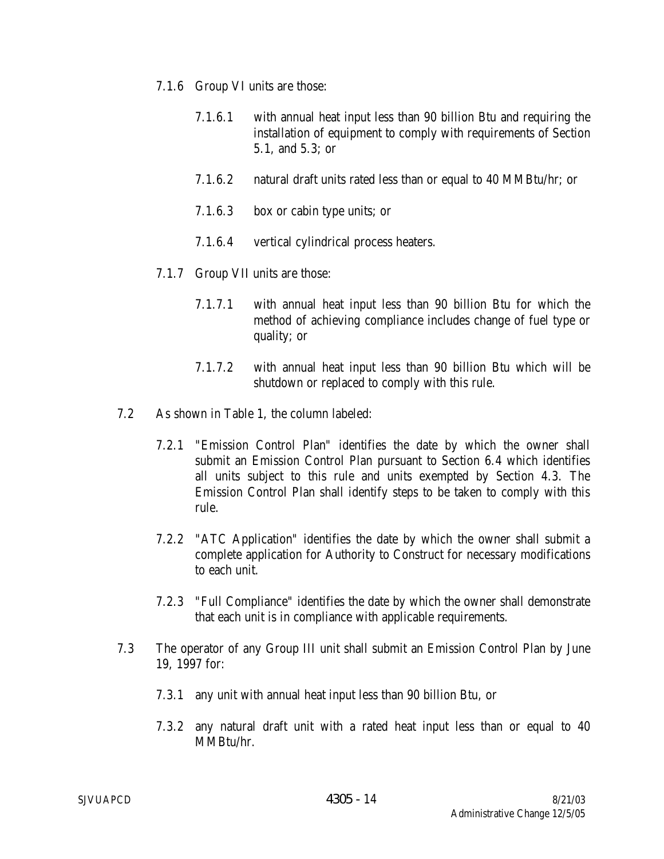- 7.1.6 Group VI units are those:
	- 7.1.6.1 with annual heat input less than 90 billion Btu and requiring the installation of equipment to comply with requirements of Section 5.1, and 5.3; or
	- 7.1.6.2 natural draft units rated less than or equal to 40 MMBtu/hr; or
	- 7.1.6.3 box or cabin type units; or
	- 7.1.6.4 vertical cylindrical process heaters.
- 7.1.7 Group VII units are those:
	- 7.1.7.1 with annual heat input less than 90 billion Btu for which the method of achieving compliance includes change of fuel type or quality; or
	- 7.1.7.2 with annual heat input less than 90 billion Btu which will be shutdown or replaced to comply with this rule.
- 7.2 As shown in Table 1, the column labeled:
	- 7.2.1 "Emission Control Plan" identifies the date by which the owner shall submit an Emission Control Plan pursuant to Section 6.4 which identifies all units subject to this rule and units exempted by Section 4.3. The Emission Control Plan shall identify steps to be taken to comply with this rule.
	- 7.2.2 "ATC Application" identifies the date by which the owner shall submit a complete application for Authority to Construct for necessary modifications to each unit.
	- 7.2.3 "Full Compliance" identifies the date by which the owner shall demonstrate that each unit is in compliance with applicable requirements.
- 7.3 The operator of any Group III unit shall submit an Emission Control Plan by June 19, 1997 for:
	- 7.3.1 any unit with annual heat input less than 90 billion Btu, or
	- 7.3.2 any natural draft unit with a rated heat input less than or equal to 40 MMBtu/hr.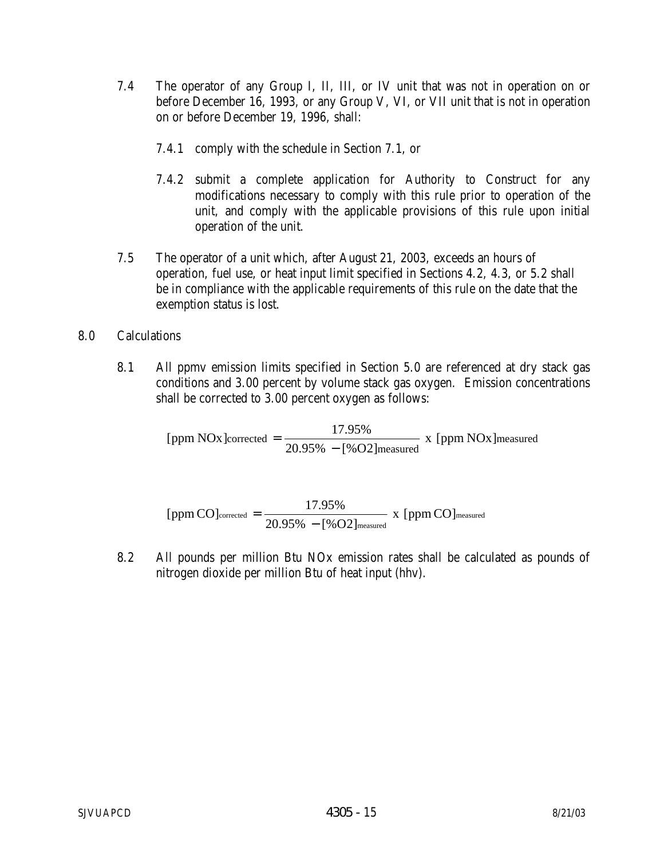- 7.4 The operator of any Group I, II, III, or IV unit that was not in operation on or before December 16, 1993, or any Group V, VI, or VII unit that is not in operation on or before December 19, 1996, shall:
	- 7.4.1 comply with the schedule in Section 7.1, or
	- 7.4.2 submit a complete application for Authority to Construct for any modifications necessary to comply with this rule prior to operation of the unit, and comply with the applicable provisions of this rule upon initial operation of the unit.
- 7.5 The operator of a unit which, after August 21, 2003, exceeds an hours of operation, fuel use, or heat input limit specified in Sections 4.2, 4.3, or 5.2 shall be in compliance with the applicable requirements of this rule on the date that the exemption status is lost.

## 8.0 Calculations

 8.1 All ppmv emission limits specified in Section 5.0 are referenced at dry stack gas conditions and 3.00 percent by volume stack gas oxygen. Emission concentrations shall be corrected to 3.00 percent oxygen as follows:

> measured [ppm NOx]corrected =  $\frac{17.95\%}{20.95\% - [%O2]$  measured x [ppm NOx]

$$
[ppm\,CO]_{\text{corrected}} = \frac{17.95\%}{20.95\% - [\%O2]_{\text{measured}}} \; x \; [ppm\,CO]_{\text{measured}}
$$

 8.2 All pounds per million Btu NOx emission rates shall be calculated as pounds of nitrogen dioxide per million Btu of heat input (hhv).